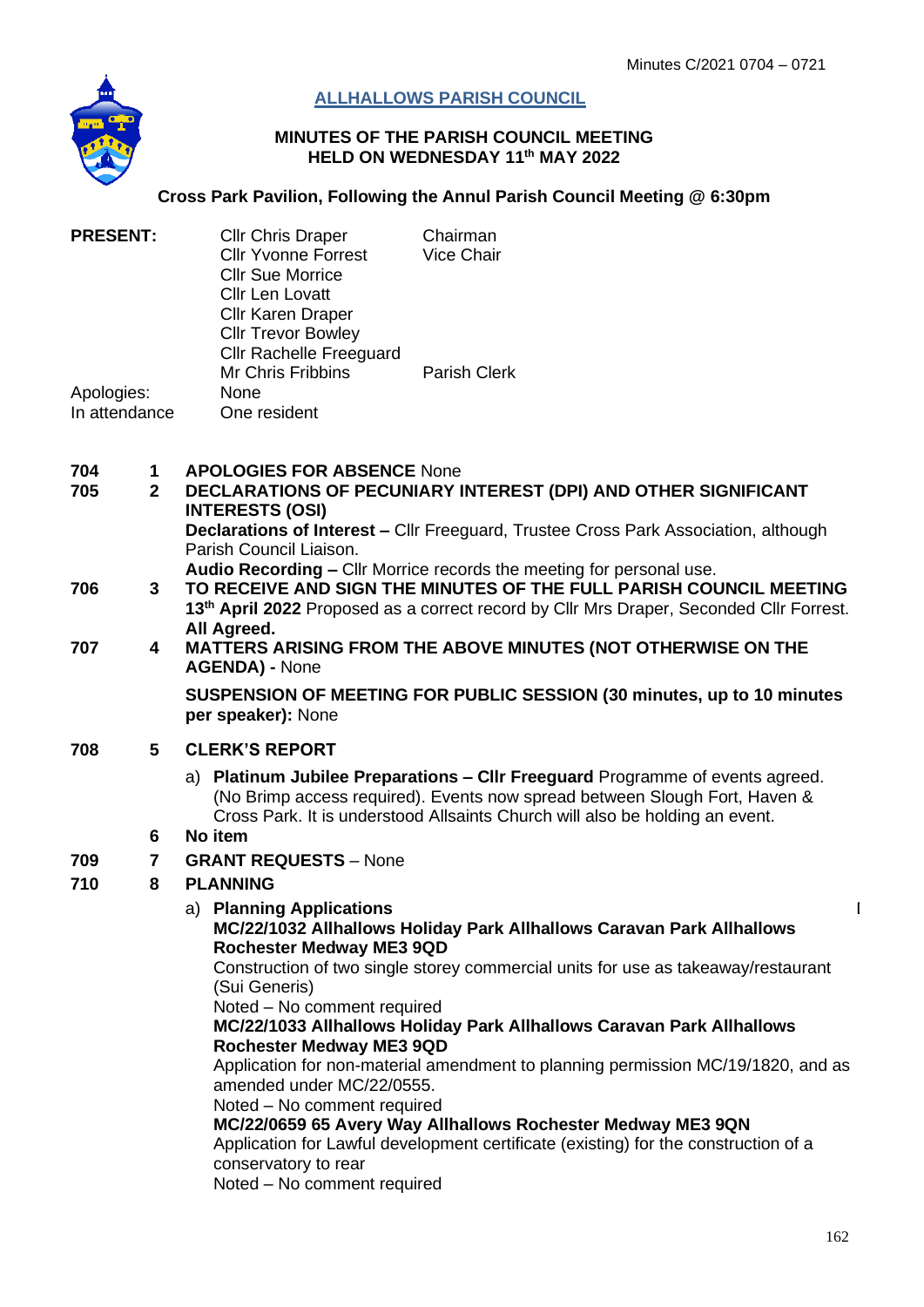

# **ALLHALLOWS PARISH COUNCIL**

#### **MINUTES OF THE PARISH COUNCIL MEETING HELD ON WEDNESDAY 11th MAY 2022**

#### **Cross Park Pavilion, Following the Annul Parish Council Meeting @ 6:30pm**

| <b>PRESENT:</b>             | <b>Cllr Chris Draper</b><br><b>Cllr Yvonne Forrest</b><br><b>CIIr Sue Morrice</b><br>Cllr Len Lovatt<br><b>Cllr Karen Draper</b><br><b>Cllr Trevor Bowley</b> | Chairman<br><b>Vice Chair</b> |
|-----------------------------|---------------------------------------------------------------------------------------------------------------------------------------------------------------|-------------------------------|
| Apologies:<br>In attendance | <b>Cllr Rachelle Freeguard</b><br><b>Mr Chris Fribbins</b><br>None<br>One resident                                                                            | <b>Parish Clerk</b>           |

| 704 | <b>APOLOGIES FOR ABSENCE None</b> |
|-----|-----------------------------------|
|     |                                   |

- **705 2 DECLARATIONS OF PECUNIARY INTEREST (DPI) AND OTHER SIGNIFICANT INTERESTS (OSI) Declarations of Interest –** Cllr Freeguard, Trustee Cross Park Association, although Parish Council Liaison. **Audio Recording –** Cllr Morrice records the meeting for personal use.
- **706 3 TO RECEIVE AND SIGN THE MINUTES OF THE FULL PARISH COUNCIL MEETING 13 th April 2022** Proposed as a correct record by Cllr Mrs Draper, Seconded Cllr Forrest. **All Agreed.**

#### **707 4 MATTERS ARISING FROM THE ABOVE MINUTES (NOT OTHERWISE ON THE AGENDA) -** None

**SUSPENSION OF MEETING FOR PUBLIC SESSION (30 minutes, up to 10 minutes per speaker):** None

## **708 5 CLERK'S REPORT**

a) **Platinum Jubilee Preparations – Cllr Freeguard** Programme of events agreed. (No Brimp access required). Events now spread between Slough Fort, Haven & Cross Park. It is understood Allsaints Church will also be holding an event.

## **6 No item**

**709 7 GRANT REQUESTS** – None

# **710 8 PLANNING**

#### a) **Planning Applications**

D

# **MC/22/1032 Allhallows Holiday Park Allhallows Caravan Park Allhallows Rochester Medway ME3 9QD**

Construction of two single storey commercial units for use as takeaway/restaurant (Sui Generis)

Noted – No comment required

## **MC/22/1033 Allhallows Holiday Park Allhallows Caravan Park Allhallows Rochester Medway ME3 9QD**

Application for non-material amendment to planning permission MC/19/1820, and as amended under MC/22/0555.

Noted – No comment required

**MC/22/0659 65 Avery Way Allhallows Rochester Medway ME3 9QN**

Application for Lawful development certificate (existing) for the construction of a conservatory to rear

Noted – No comment required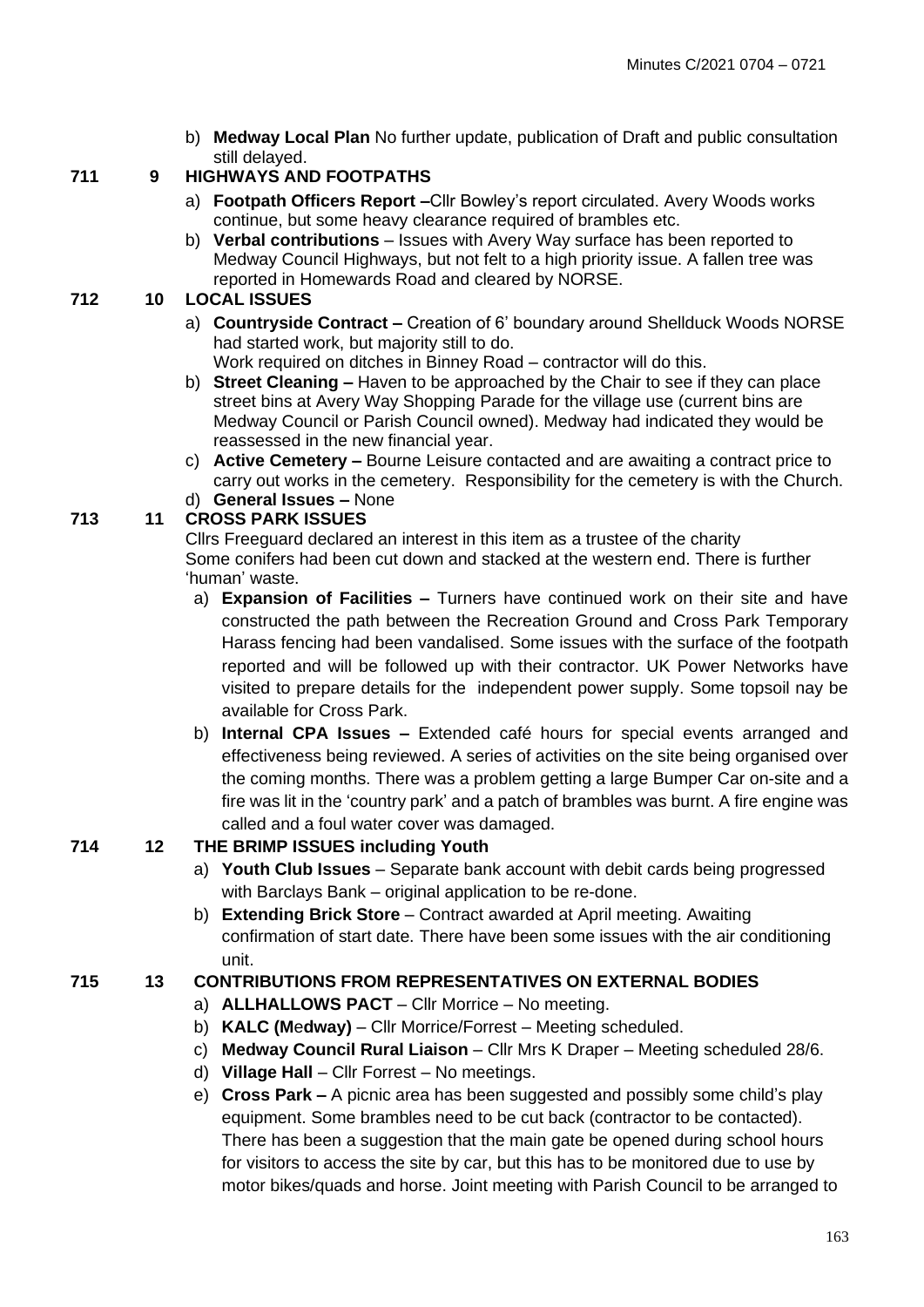b) **Medway Local Plan** No further update, publication of Draft and public consultation still delayed.

# **711 9 HIGHWAYS AND FOOTPATHS**

- a) **Footpath Officers Report –**Cllr Bowley's report circulated. Avery Woods works continue, but some heavy clearance required of brambles etc.
- b) **Verbal contributions** Issues with Avery Way surface has been reported to Medway Council Highways, but not felt to a high priority issue. A fallen tree was reported in Homewards Road and cleared by NORSE.

# **712 10 LOCAL ISSUES**

- a) **Countryside Contract –** Creation of 6' boundary around Shellduck Woods NORSE had started work, but majority still to do. Work required on ditches in Binney Road – contractor will do this.
- b) **Street Cleaning –** Haven to be approached by the Chair to see if they can place street bins at Avery Way Shopping Parade for the village use (current bins are Medway Council or Parish Council owned). Medway had indicated they would be reassessed in the new financial year.
- c) **Active Cemetery –** Bourne Leisure contacted and are awaiting a contract price to carry out works in the cemetery. Responsibility for the cemetery is with the Church. d) **General Issues –** None

# **713 11 CROSS PARK ISSUES**

Cllrs Freeguard declared an interest in this item as a trustee of the charity Some conifers had been cut down and stacked at the western end. There is further 'human' waste.

- a) **Expansion of Facilities –** Turners have continued work on their site and have constructed the path between the Recreation Ground and Cross Park Temporary Harass fencing had been vandalised. Some issues with the surface of the footpath reported and will be followed up with their contractor. UK Power Networks have visited to prepare details for the independent power supply. Some topsoil nay be available for Cross Park.
- b) **Internal CPA Issues –** Extended café hours for special events arranged and effectiveness being reviewed. A series of activities on the site being organised over the coming months. There was a problem getting a large Bumper Car on-site and a fire was lit in the 'country park' and a patch of brambles was burnt. A fire engine was called and a foul water cover was damaged.

# **714 12 THE BRIMP ISSUES including Youth**

- a) **Youth Club Issues** Separate bank account with debit cards being progressed with Barclays Bank – original application to be re-done.
- b) **Extending Brick Store** Contract awarded at April meeting. Awaiting confirmation of start date. There have been some issues with the air conditioning unit.

# **715 13 CONTRIBUTIONS FROM REPRESENTATIVES ON EXTERNAL BODIES**

- a) **ALLHALLOWS PACT** Cllr Morrice No meeting.
- b) **KALC (M**e**dway)** Cllr Morrice/Forrest Meeting scheduled.
- c) **Medway Council Rural Liaison** Cllr Mrs K Draper Meeting scheduled 28/6.
- d) **Village Hall** Cllr Forrest No meetings.
- e) **Cross Park –** A picnic area has been suggested and possibly some child's play equipment. Some brambles need to be cut back (contractor to be contacted). There has been a suggestion that the main gate be opened during school hours for visitors to access the site by car, but this has to be monitored due to use by motor bikes/quads and horse. Joint meeting with Parish Council to be arranged to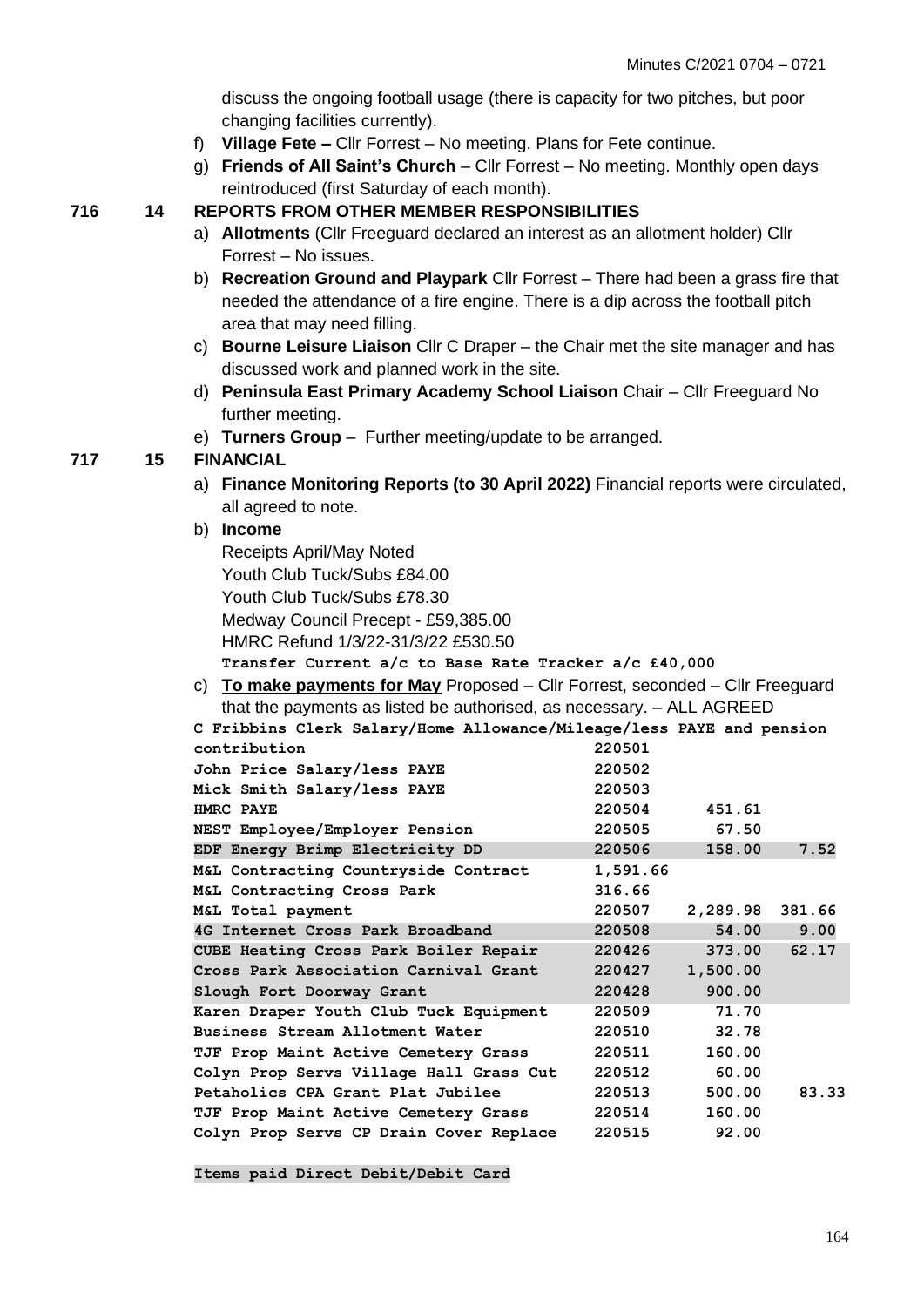discuss the ongoing football usage (there is capacity for two pitches, but poor changing facilities currently).

- f) **Village Fete –** Cllr Forrest No meeting. Plans for Fete continue.
- g) **Friends of All Saint's Church** Cllr Forrest No meeting. Monthly open days reintroduced (first Saturday of each month).

#### **716 14 REPORTS FROM OTHER MEMBER RESPONSIBILITIES**

- a) **Allotments** (Cllr Freeguard declared an interest as an allotment holder) Cllr Forrest – No issues.
- b) **Recreation Ground and Playpark** Cllr Forrest There had been a grass fire that needed the attendance of a fire engine. There is a dip across the football pitch area that may need filling.
- c) **Bourne Leisure Liaison** Cllr C Draper the Chair met the site manager and has discussed work and planned work in the site.
- d) **Peninsula East Primary Academy School Liaison** Chair Cllr Freeguard No further meeting.
- e) **Turners Group**  Further meeting/update to be arranged.

#### **717 15 FINANCIAL**

a) **Finance Monitoring Reports (to 30 April 2022)** Financial reports were circulated, all agreed to note.

#### b) **Income**

Receipts April/May Noted Youth Club Tuck/Subs £84.00 Youth Club Tuck/Subs £78.30 Medway Council Precept - £59,385.00 HMRC Refund 1/3/22-31/3/22 £530.50 **Transfer Current a/c to Base Rate Tracker a/c £40,000**

c) **To make payments for May** Proposed – Cllr Forrest, seconded – Cllr Freeguard that the payments as listed be authorised, as necessary. – ALL AGREED

| C Fribbins Clerk Salary/Home Allowance/Mileage/less PAYE and pension |          |                 |       |
|----------------------------------------------------------------------|----------|-----------------|-------|
| contribution                                                         | 220501   |                 |       |
| John Price Salary/less PAYE                                          | 220502   |                 |       |
| Mick Smith Salary/less PAYE                                          | 220503   |                 |       |
| HMRC PAYE                                                            | 220504   | 451.61          |       |
| NEST Employee/Employer Pension                                       | 220505   | 67.50           |       |
| EDF Energy Brimp Electricity DD                                      | 220506   | 158.00          | 7.52  |
| M&L Contracting Countryside Contract                                 | 1,591.66 |                 |       |
| M&L Contracting Cross Park                                           | 316.66   |                 |       |
| M&L Total payment                                                    | 220507   | 2,289.98 381.66 |       |
| 4G Internet Cross Park Broadband                                     | 220508   | 54.00           | 9.00  |
| CUBE Heating Cross Park Boiler Repair                                | 220426   | 373.00          | 62.17 |
| Cross Park Association Carnival Grant                                | 220427   | 1,500.00        |       |
| Slough Fort Doorway Grant                                            | 220428   | 900.00          |       |
| Karen Draper Youth Club Tuck Equipment                               | 220509   | 71.70           |       |
| Business Stream Allotment Water                                      | 220510   | 32.78           |       |
| TJF Prop Maint Active Cemetery Grass                                 | 220511   | 160.00          |       |
| Colyn Prop Servs Village Hall Grass Cut                              | 220512   | 60.00           |       |
| Petaholics CPA Grant Plat Jubilee                                    | 220513   | 500.00          | 83.33 |
| TJF Prop Maint Active Cemetery Grass                                 | 220514   | 160.00          |       |
| Colyn Prop Servs CP Drain Cover Replace                              | 220515   | 92.00           |       |

**Items paid Direct Debit/Debit Card**